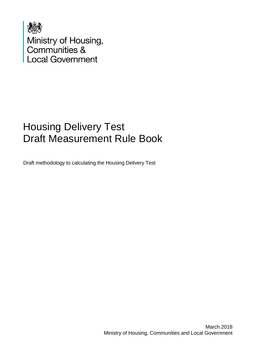

Ministry of Housing,<br>Communities &<br>Local Government

## Housing Delivery Test Draft Measurement Rule Book

Draft methodology to calculating the Housing Delivery Test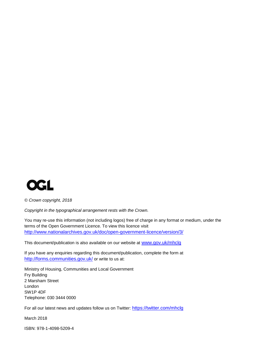

*© Crown copyright, 2018*

*Copyright in the typographical arrangement rests with the Crown.*

You may re-use this information (not including logos) free of charge in any format or medium, under the terms of the Open Government Licence. To view this licence visit <http://www.nationalarchives.gov.uk/doc/open-government-licence/version/3/>

This document/publication is also available on our website at [www.gov.uk/mhclg](http://www.gov.uk/mhclg)

If you have any enquiries regarding this document/publication, complete the form at <http://forms.communities.gov.uk/> or write to us at:

Ministry of Housing, Communities and Local Government Fry Building 2 Marsham Street London SW1P 4DF Telephone: 030 3444 0000

For all our latest news and updates follow us on Twitter: <https://twitter.com/mhclg>

March 2018

ISBN: 978-1-4098-5209-4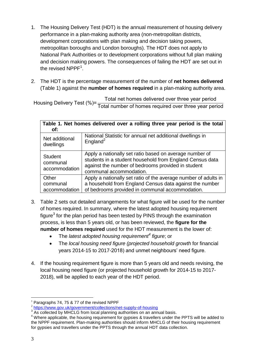- 1. The Housing Delivery Test (HDT) is the annual measurement of housing delivery performance in a plan-making authority area (non-metropolitan districts, development corporations with plan making and decision taking powers, metropolitan boroughs and London boroughs). The HDT does not apply to National Park Authorities or to development corporations without full plan making and decision making powers. The consequences of failing the HDT are set out in the revised  $\text{NPPF}^1$ .
- 2. The HDT is the percentage measurement of the number of **net homes delivered** (Table 1) against the **number of homes required** in a plan-making authority area.

H T T

| Table 1. Net homes delivered over a rolling three year period is the total |                                                                                                                                                                                                      |  |
|----------------------------------------------------------------------------|------------------------------------------------------------------------------------------------------------------------------------------------------------------------------------------------------|--|
| of:                                                                        |                                                                                                                                                                                                      |  |
| Net additional<br>dwellings                                                | National Statistic for annual net additional dwellings in<br>England <sup>2</sup>                                                                                                                    |  |
| <b>Student</b><br>communal<br>accommodation                                | Apply a nationally set ratio based on average number of<br>students in a student household from England Census data<br>against the number of bedrooms provided in student<br>communal accommodation. |  |
| Other<br>communal<br>accommodation                                         | Apply a nationally set ratio of the average number of adults in<br>a household from England Census data against the number<br>of bedrooms provided in communal accommodation.                        |  |

- 3. Table 2 sets out detailed arrangements for what figure will be used for the number of homes required. In summary, where the latest adopted housing requirement figure $3$  for the plan period has been tested by PINS through the examination process, is less than 5 years old, or has been reviewed, the **figure for the number of homes required** used for the HDT measurement is the lower of:
	- The *latest adopted housing requirement<sup>4</sup> figure*; or
	- The *local housing need figure (projected household growth* for financial years 2014-15 to 2017-2018) and unmet neighbours' need figure.
- 4. If the housing requirement figure is more than 5 years old and needs revising, the local housing need figure (or projected household growth for 2014-15 to 2017- 2018), will be applied to each year of the HDT period.

<sup>&</sup>lt;u>.</u>  $1$  Paragraphs 74, 75 & 77 of the revised NPPF

<sup>2</sup> <https://www.gov.uk/government/collections/net-supply-of-housing> 3 As collected by MHCLG from local planning authorities on an annual basis.

<sup>4</sup> Where applicable, the housing requirement for gypsies & travellers under the PPTS will be added to the NPPF requirement. Plan-making authorities should inform MHCLG of their housing requirement for gypsies and travellers under the PPTS through the annual HDT data collection.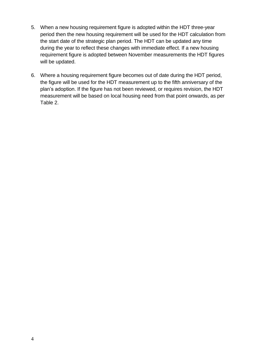- 5. When a new housing requirement figure is adopted within the HDT three-year period then the new housing requirement will be used for the HDT calculation from the start date of the strategic plan period. The HDT can be updated any time during the year to reflect these changes with immediate effect. If a new housing requirement figure is adopted between November measurements the HDT figures will be updated.
- 6. Where a housing requirement figure becomes out of date during the HDT period, the figure will be used for the HDT measurement up to the fifth anniversary of the plan's adoption. If the figure has not been reviewed, or requires revision, the HDT measurement will be based on local housing need from that point onwards, as per Table 2.